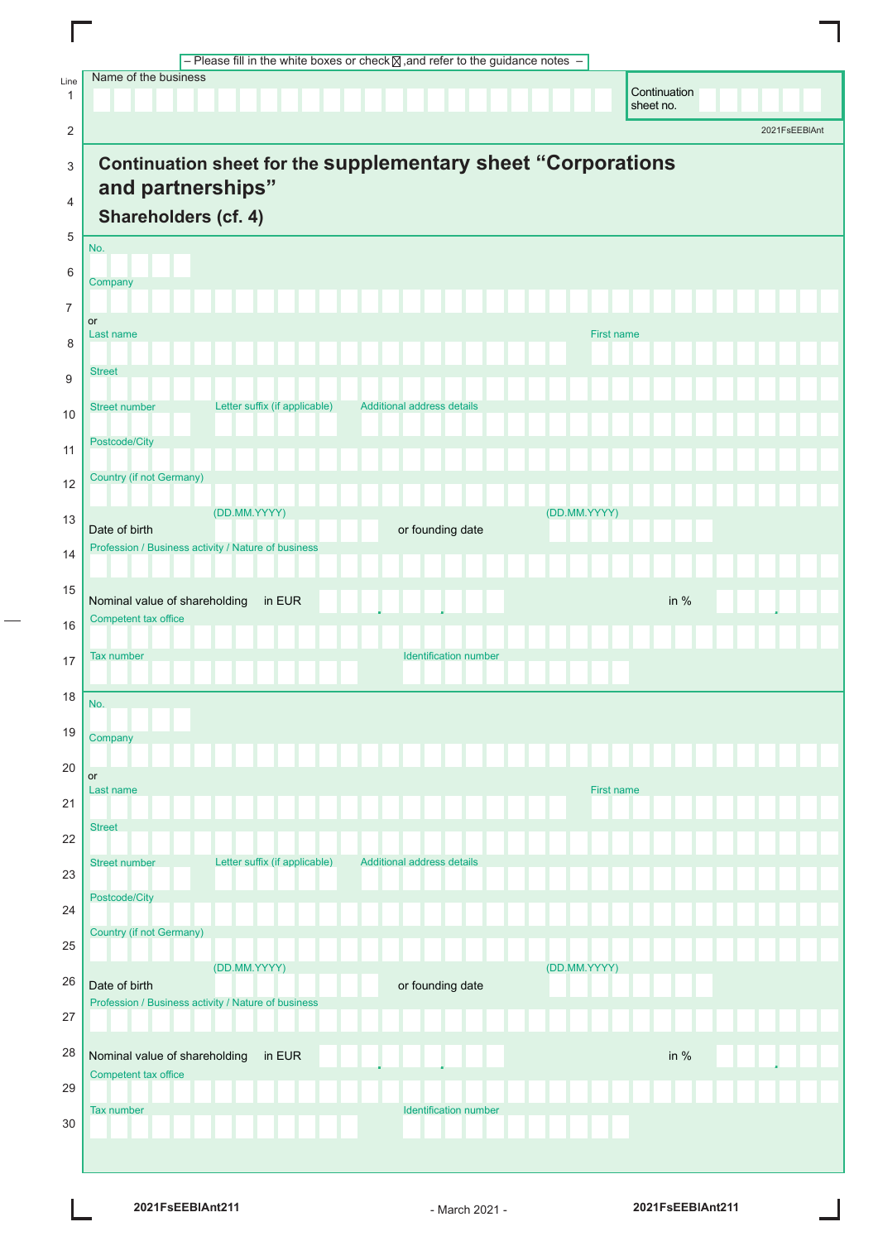|                | - Please fill in the white boxes or check $\boxtimes$ , and refer to the guidance notes - |
|----------------|-------------------------------------------------------------------------------------------|
| Line<br>1      | Name of the business<br>Continuation<br>sheet no.                                         |
| $\overline{c}$ | 2021FsEEBIAnt                                                                             |
| 3              | <b>Continuation sheet for the supplementary sheet "Corporations</b>                       |
|                | and partnerships"                                                                         |
| $\overline{4}$ | Shareholders (cf. 4)                                                                      |
| 5              | No.                                                                                       |
| $\,6\,$        | Company                                                                                   |
| $\overline{7}$ | or                                                                                        |
| 8              | <b>First name</b><br>Last name                                                            |
| 9              | <b>Street</b>                                                                             |
| 10             | Letter suffix (if applicable)<br>Additional address details<br><b>Street number</b>       |
| 11             | Postcode/City                                                                             |
| 12             | Country (if not Germany)                                                                  |
| 13             | (DD.MM.YYYY)<br>(DD.MM.YYYY)<br>Date of birth<br>or founding date                         |
| 14             | Profession / Business activity / Nature of business                                       |
| 15             | in EUR<br>Nominal value of shareholding<br>in $%$                                         |
| 16             | Competent tax office                                                                      |
| 17             | <b>Tax number</b><br><b>Identification number</b>                                         |
| 18             | No.                                                                                       |
| 19             | Company                                                                                   |
| 20             |                                                                                           |
| 21             | or<br>Last name<br><b>First name</b>                                                      |
| 22             | <b>Street</b>                                                                             |
| 23             | Letter suffix (if applicable)<br>Additional address details<br><b>Street number</b>       |
| 24             | Postcode/City                                                                             |
| 25             | <b>Country (if not Germany)</b>                                                           |
| 26             | (DD.MM.YYYY)<br>(DD.MM.YYYY)                                                              |
| 27             | Date of birth<br>or founding date<br>Profession / Business activity / Nature of business  |
| 28             | Nominal value of shareholding<br>in EUR<br>in $%$                                         |
| 29             | Competent tax office                                                                      |
| 30             | <b>Identification number</b><br>Tax number                                                |
|                |                                                                                           |